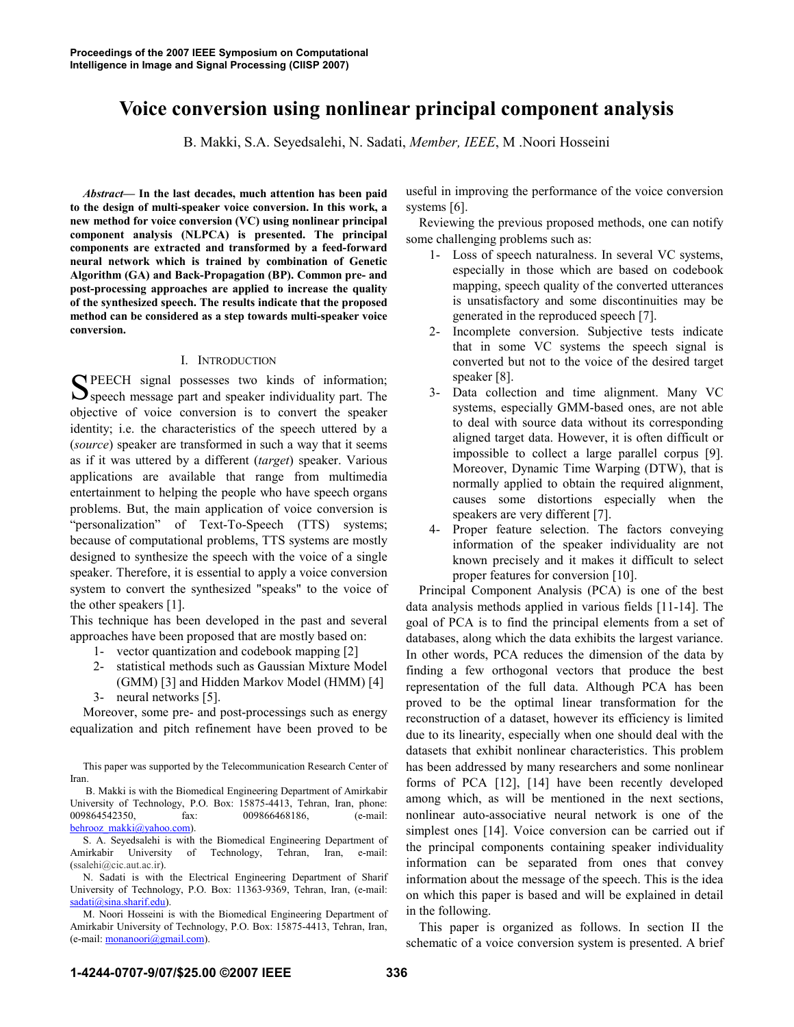# Voice conversion using nonlinear principal component analysis

B. Makki, S.A. Seyedsalehi, N. Sadati, *Member, IEEE*, M .Noori Hosseini

*Abstract*— In the last decades, much attention has been paid to the design of multi-speaker voice conversion. In this work, a new method for voice conversion (VC) using nonlinear principal component analysis (NLPCA) is presented. The principal components are extracted and transformed by a feed-forward neural network which is trained by combination of Genetic Algorithm (GA) and Back-Propagation (BP). Common pre- and post-processing approaches are applied to increase the quality of the synthesized speech. The results indicate that the proposed method can be considered as a step towards multi-speaker voice conversion.

## I. INTRODUCTION

PEECH signal possesses two kinds of information; SPEECH signal possesses two kinds of information;<br>Speech message part and speaker individuality part. The objective of voice conversion is to convert the speaker identity; i.e. the characteristics of the speech uttered by a (*source*) speaker are transformed in such a way that it seems as if it was uttered by a different (*target*) speaker. Various applications are available that range from multimedia entertainment to helping the people who have speech organs problems. But, the main application of voice conversion is "personalization" of Text-To-Speech (TTS) systems; because of computational problems, TTS systems are mostly designed to synthesize the speech with the voice of a single speaker. Therefore, it is essential to apply a voice conversion system to convert the synthesized "speaks" to the voice of the other speakers [1].

This technique has been developed in the past and several approaches have been proposed that are mostly based on:

- 1- vector quantization and codebook mapping [2]
- 2- statistical methods such as Gaussian Mixture Model (GMM) [3] and Hidden Markov Model (HMM) [4]
- 3- neural networks [5].

Moreover, some pre- and post-processings such as energy equalization and pitch refinement have been proved to be

This paper was supported by the Telecommunication Research Center of Iran.

 B. Makki is with the Biomedical Engineering Department of Amirkabir University of Technology, P.O. Box: 15875-4413, Tehran, Iran, phone: 009864542350, fax: 009866468186, (e-mail: behrooz\_makki@yahoo.com).

S. A. Seyedsalehi is with the Biomedical Engineering Department of Amirkabir University of Technology, Tehran, Iran, e-mail: (ssalehi@cic.aut.ac.ir).

N. Sadati is with the Electrical Engineering Department of Sharif University of Technology, P.O. Box: 11363-9369, Tehran, Iran, (e-mail: sadati@sina.sharif.edu).

M. Noori Hosseini is with the Biomedical Engineering Department of Amirkabir University of Technology, P.O. Box: 15875-4413, Tehran, Iran, (e-mail: monanoori@gmail.com).

useful in improving the performance of the voice conversion systems [6].

Reviewing the previous proposed methods, one can notify some challenging problems such as:

- 1- Loss of speech naturalness. In several VC systems, especially in those which are based on codebook mapping, speech quality of the converted utterances is unsatisfactory and some discontinuities may be generated in the reproduced speech [7].
- 2- Incomplete conversion. Subjective tests indicate that in some VC systems the speech signal is converted but not to the voice of the desired target speaker [8].
- 3- Data collection and time alignment. Many VC systems, especially GMM-based ones, are not able to deal with source data without its corresponding aligned target data. However, it is often difficult or impossible to collect a large parallel corpus [9]. Moreover, Dynamic Time Warping (DTW), that is normally applied to obtain the required alignment, causes some distortions especially when the speakers are very different [7].
- 4- Proper feature selection. The factors conveying information of the speaker individuality are not known precisely and it makes it difficult to select proper features for conversion [10].

Principal Component Analysis (PCA) is one of the best data analysis methods applied in various fields [11-14]. The goal of PCA is to find the principal elements from a set of databases, along which the data exhibits the largest variance. In other words, PCA reduces the dimension of the data by finding a few orthogonal vectors that produce the best representation of the full data. Although PCA has been proved to be the optimal linear transformation for the reconstruction of a dataset, however its efficiency is limited due to its linearity, especially when one should deal with the datasets that exhibit nonlinear characteristics. This problem has been addressed by many researchers and some nonlinear forms of PCA [12], [14] have been recently developed among which, as will be mentioned in the next sections, nonlinear auto-associative neural network is one of the simplest ones [14]. Voice conversion can be carried out if the principal components containing speaker individuality information can be separated from ones that convey information about the message of the speech. This is the idea on which this paper is based and will be explained in detail in the following.

This paper is organized as follows. In section II the schematic of a voice conversion system is presented. A brief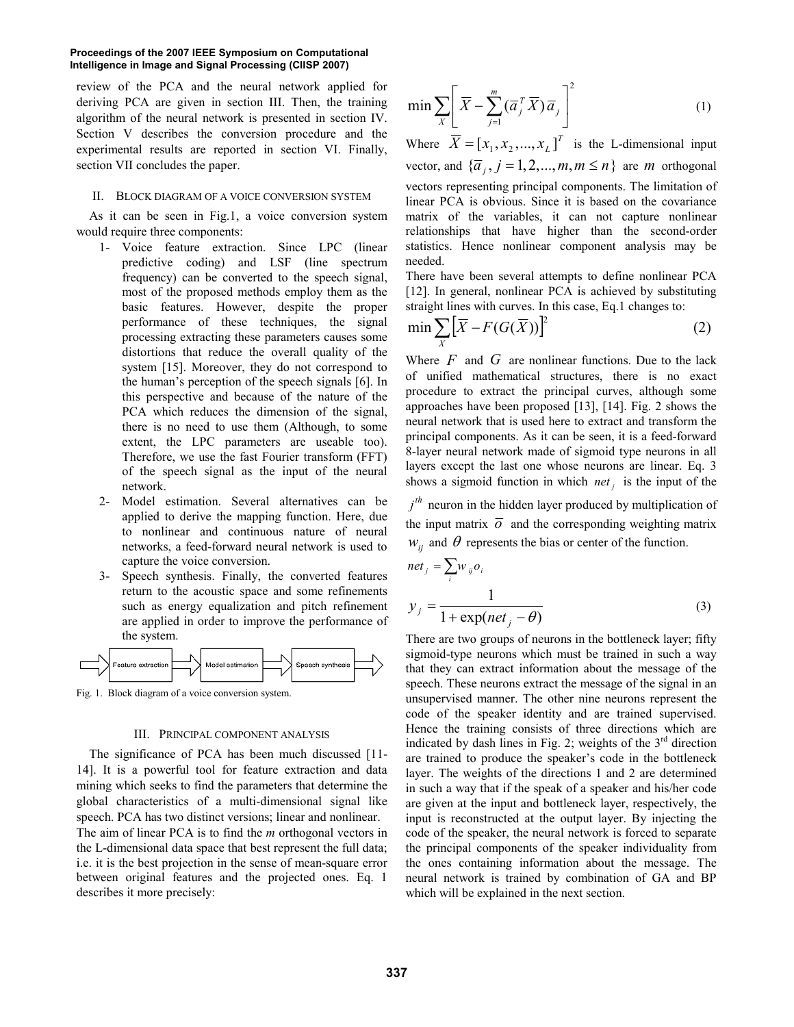#### **Proceedings of the 2007 IEEE Symposium on Computational Intelligence in Image and Signal Processing (CIISP 2007)**

review of the PCA and the neural network applied for deriving PCA are given in section III. Then, the training algorithm of the neural network is presented in section IV. Section V describes the conversion procedure and the experimental results are reported in section VI. Finally, section VII concludes the paper.

### II. BLOCK DIAGRAM OF A VOICE CONVERSION SYSTEM

As it can be seen in Fig.1, a voice conversion system would require three components:

- 1- Voice feature extraction. Since LPC (linear predictive coding) and LSF (line spectrum frequency) can be converted to the speech signal, most of the proposed methods employ them as the basic features. However, despite the proper performance of these techniques, the signal processing extracting these parameters causes some distortions that reduce the overall quality of the system [15]. Moreover, they do not correspond to the human's perception of the speech signals [6]. In this perspective and because of the nature of the PCA which reduces the dimension of the signal, there is no need to use them (Although, to some extent, the LPC parameters are useable too). Therefore, we use the fast Fourier transform (FFT) of the speech signal as the input of the neural network.
- 2- Model estimation. Several alternatives can be applied to derive the mapping function. Here, due to nonlinear and continuous nature of neural networks, a feed-forward neural network is used to capture the voice conversion.
- 3- Speech synthesis. Finally, the converted features return to the acoustic space and some refinements such as energy equalization and pitch refinement are applied in order to improve the performance of the system.



Fig. 1. Block diagram of a voice conversion system.

## III. PRINCIPAL COMPONENT ANALYSIS

The significance of PCA has been much discussed [11- 14]. It is a powerful tool for feature extraction and data mining which seeks to find the parameters that determine the global characteristics of a multi-dimensional signal like speech. PCA has two distinct versions; linear and nonlinear. The aim of linear PCA is to find the *m* orthogonal vectors in the L-dimensional data space that best represent the full data; i.e. it is the best projection in the sense of mean-square error between original features and the projected ones. Eq. 1 describes it more precisely:

$$
\min \sum_{X} \left[ \overline{X} - \sum_{j=1}^{m} (\overline{a}_{j}^{T} \overline{X}) \overline{a}_{j} \right]^{2} \tag{1}
$$

Where  $\overline{X} = [x_1, x_2, ..., x_L]^T$  is the L-dimensional input vector, and  $\{\overline{a}_j, j = 1, 2, ..., m, m \le n\}$  are *m* orthogonal vectors representing principal components. The limitation of linear PCA is obvious. Since it is based on the covariance matrix of the variables, it can not capture nonlinear relationships that have higher than the second-order statistics. Hence nonlinear component analysis may be needed.

There have been several attempts to define nonlinear PCA [12]. In general, nonlinear PCA is achieved by substituting straight lines with curves. In this case, Eq.1 changes to:

$$
\min \sum_{X} \left[ \overline{X} - F(G(\overline{X})) \right]^2 \tag{2}
$$

Where  $F$  and  $G$  are nonlinear functions. Due to the lack of unified mathematical structures, there is no exact procedure to extract the principal curves, although some approaches have been proposed [13], [14]. Fig. 2 shows the neural network that is used here to extract and transform the principal components. As it can be seen, it is a feed-forward 8-layer neural network made of sigmoid type neurons in all layers except the last one whose neurons are linear. Eq. 3 shows a sigmoid function in which  $net_i$  is the input of the

 $j<sup>th</sup>$  neuron in the hidden layer produced by multiplication of the input matrix  $\overline{o}$  and the corresponding weighting matrix  $w_{ij}$  and  $\theta$  represents the bias or center of the function.

$$
netj = \sum_{i} w_{ij} o_i
$$
  

$$
y_j = \frac{1}{1 + \exp(net_j - \theta)}
$$
 (3)

There are two groups of neurons in the bottleneck layer; fifty sigmoid-type neurons which must be trained in such a way that they can extract information about the message of the speech. These neurons extract the message of the signal in an unsupervised manner. The other nine neurons represent the code of the speaker identity and are trained supervised. Hence the training consists of three directions which are indicated by dash lines in Fig. 2; weights of the  $3<sup>rd</sup>$  direction are trained to produce the speaker's code in the bottleneck layer. The weights of the directions 1 and 2 are determined in such a way that if the speak of a speaker and his/her code are given at the input and bottleneck layer, respectively, the input is reconstructed at the output layer. By injecting the code of the speaker, the neural network is forced to separate the principal components of the speaker individuality from the ones containing information about the message. The neural network is trained by combination of GA and BP which will be explained in the next section.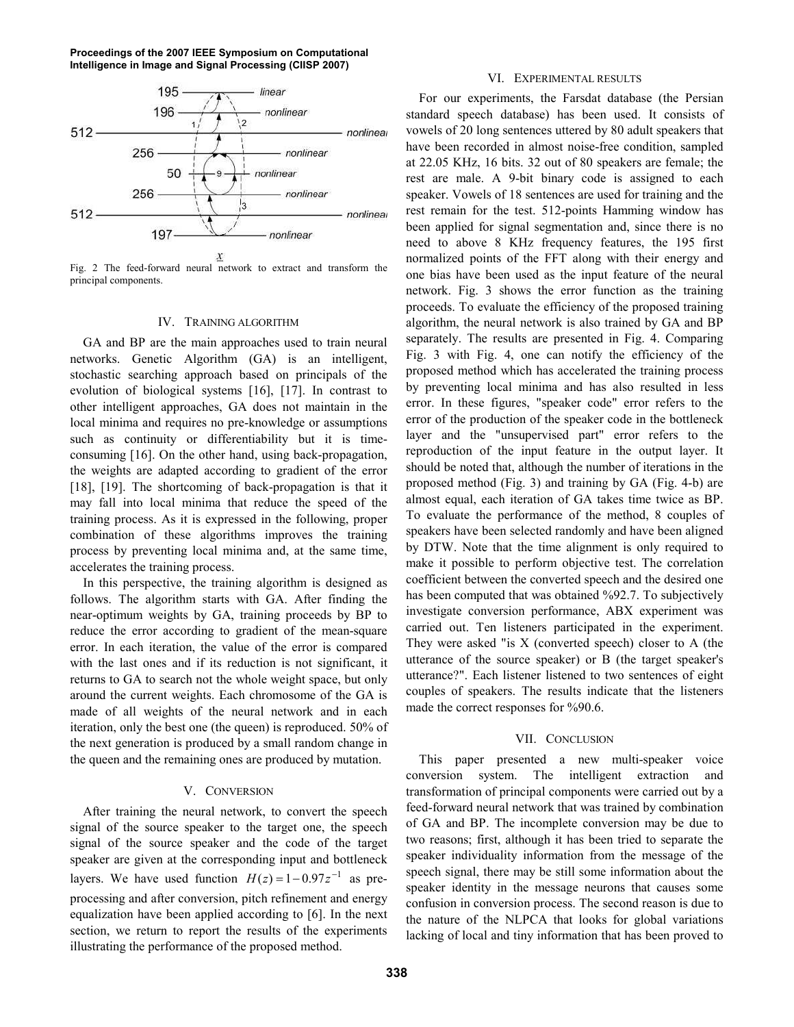**Proceedings of the 2007 IEEE Symposium on Computational Intelligence in Image and Signal Processing (CIISP 2007)**



Fig. 2 The feed-forward neural network to extract and transform the principal components.

#### IV. TRAINING ALGORITHM

GA and BP are the main approaches used to train neural networks. Genetic Algorithm (GA) is an intelligent, stochastic searching approach based on principals of the evolution of biological systems [16], [17]. In contrast to other intelligent approaches, GA does not maintain in the local minima and requires no pre-knowledge or assumptions such as continuity or differentiability but it is timeconsuming [16]. On the other hand, using back-propagation, the weights are adapted according to gradient of the error [18], [19]. The shortcoming of back-propagation is that it may fall into local minima that reduce the speed of the training process. As it is expressed in the following, proper combination of these algorithms improves the training process by preventing local minima and, at the same time, accelerates the training process.

In this perspective, the training algorithm is designed as follows. The algorithm starts with GA. After finding the near-optimum weights by GA, training proceeds by BP to reduce the error according to gradient of the mean-square error. In each iteration, the value of the error is compared with the last ones and if its reduction is not significant, it returns to GA to search not the whole weight space, but only around the current weights. Each chromosome of the GA is made of all weights of the neural network and in each iteration, only the best one (the queen) is reproduced. 50% of the next generation is produced by a small random change in the queen and the remaining ones are produced by mutation.

## V. CONVERSION

After training the neural network, to convert the speech signal of the source speaker to the target one, the speech signal of the source speaker and the code of the target speaker are given at the corresponding input and bottleneck layers. We have used function  $H(z) = 1 - 0.97z^{-1}$  as preprocessing and after conversion, pitch refinement and energy equalization have been applied according to [6]. In the next section, we return to report the results of the experiments illustrating the performance of the proposed method.

### VI. EXPERIMENTAL RESULTS

For our experiments, the Farsdat database (the Persian standard speech database) has been used. It consists of vowels of 20 long sentences uttered by 80 adult speakers that have been recorded in almost noise-free condition, sampled at 22.05 KHz, 16 bits. 32 out of 80 speakers are female; the rest are male. A 9-bit binary code is assigned to each speaker. Vowels of 18 sentences are used for training and the rest remain for the test. 512-points Hamming window has been applied for signal segmentation and, since there is no need to above 8 KHz frequency features, the 195 first normalized points of the FFT along with their energy and one bias have been used as the input feature of the neural network. Fig. 3 shows the error function as the training proceeds. To evaluate the efficiency of the proposed training algorithm, the neural network is also trained by GA and BP separately. The results are presented in Fig. 4. Comparing Fig. 3 with Fig. 4, one can notify the efficiency of the proposed method which has accelerated the training process by preventing local minima and has also resulted in less error. In these figures, "speaker code" error refers to the error of the production of the speaker code in the bottleneck layer and the "unsupervised part" error refers to the reproduction of the input feature in the output layer. It should be noted that, although the number of iterations in the proposed method (Fig. 3) and training by GA (Fig. 4-b) are almost equal, each iteration of GA takes time twice as BP. To evaluate the performance of the method, 8 couples of speakers have been selected randomly and have been aligned by DTW. Note that the time alignment is only required to make it possible to perform objective test. The correlation coefficient between the converted speech and the desired one has been computed that was obtained %92.7. To subjectively investigate conversion performance, ABX experiment was carried out. Ten listeners participated in the experiment. They were asked "is X (converted speech) closer to A (the utterance of the source speaker) or B (the target speaker's utterance?". Each listener listened to two sentences of eight couples of speakers. The results indicate that the listeners made the correct responses for %90.6.

#### VII. CONCLUSION

This paper presented a new multi-speaker voice conversion system. The intelligent extraction and transformation of principal components were carried out by a feed-forward neural network that was trained by combination of GA and BP. The incomplete conversion may be due to two reasons; first, although it has been tried to separate the speaker individuality information from the message of the speech signal, there may be still some information about the speaker identity in the message neurons that causes some confusion in conversion process. The second reason is due to the nature of the NLPCA that looks for global variations lacking of local and tiny information that has been proved to